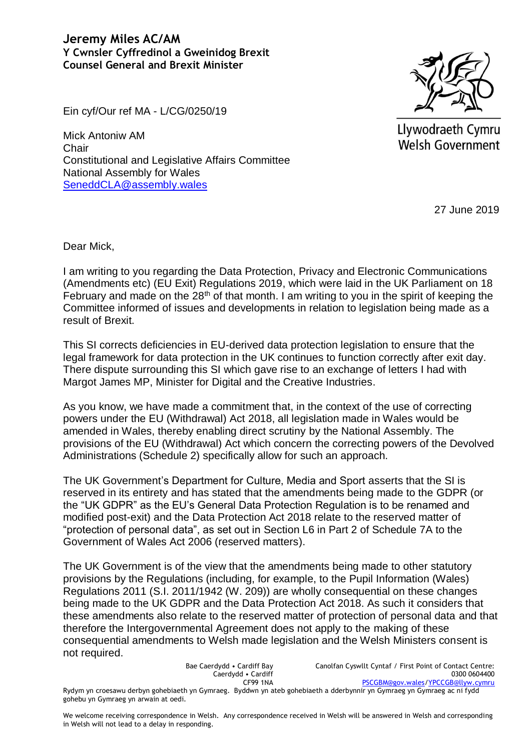## **Jeremy Miles AC/AM Y Cwnsler Cyffredinol a Gweinidog Brexit Counsel General and Brexit Minister**



Llywodraeth Cymru Welsh Government

27 June 2019

Ein cyf/Our ref MA - L/CG/0250/19

Mick Antoniw AM **Chair** Constitutional and Legislative Affairs Committee National Assembly for Wales [SeneddCLA@assembly.wales](mailto:SeneddCLA@assembly.wales)

Dear Mick,

I am writing to you regarding the Data Protection, Privacy and Electronic Communications (Amendments etc) (EU Exit) Regulations 2019, which were laid in the UK Parliament on 18 February and made on the  $28<sup>th</sup>$  of that month. I am writing to you in the spirit of keeping the Committee informed of issues and developments in relation to legislation being made as a result of Brexit.

This SI corrects deficiencies in EU-derived data protection legislation to ensure that the legal framework for data protection in the UK continues to function correctly after exit day. There dispute surrounding this SI which gave rise to an exchange of letters I had with Margot James MP, Minister for Digital and the Creative Industries.

As you know, we have made a commitment that, in the context of the use of correcting powers under the EU (Withdrawal) Act 2018, all legislation made in Wales would be amended in Wales, thereby enabling direct scrutiny by the National Assembly. The provisions of the EU (Withdrawal) Act which concern the correcting powers of the Devolved Administrations (Schedule 2) specifically allow for such an approach.

The UK Government's Department for Culture, Media and Sport asserts that the SI is reserved in its entirety and has stated that the amendments being made to the GDPR (or the "UK GDPR" as the EU's General Data Protection Regulation is to be renamed and modified post-exit) and the Data Protection Act 2018 relate to the reserved matter of "protection of personal data", as set out in Section L6 in Part 2 of Schedule 7A to the Government of Wales Act 2006 (reserved matters).

The UK Government is of the view that the amendments being made to other statutory provisions by the Regulations (including, for example, to the Pupil Information (Wales) Regulations 2011 (S.I. 2011/1942 (W. 209)) are wholly consequential on these changes being made to the UK GDPR and the Data Protection Act 2018. As such it considers that these amendments also relate to the reserved matter of protection of personal data and that therefore the Intergovernmental Agreement does not apply to the making of these consequential amendments to Welsh made legislation and the Welsh Ministers consent is not required.

Bae Caerdydd • Cardiff Bay Caerdydd • Cardiff CF99 1NA Canolfan Cyswllt Cyntaf / First Point of Contact Centre: 0300 0604400 [PSCGBM@gov.wales](mailto:PSCGBM@gov.wales)[/YPCCGB@llyw.cymru](mailto:YPCCGB@llyw.cymru) Rydym yn croesawu derbyn gohebiaeth yn Gymraeg. Byddwn yn ateb gohebiaeth a dderbynnir yn Gymraeg yn Gymraeg ac ni fydd gohebu yn Gymraeg yn arwain at oedi.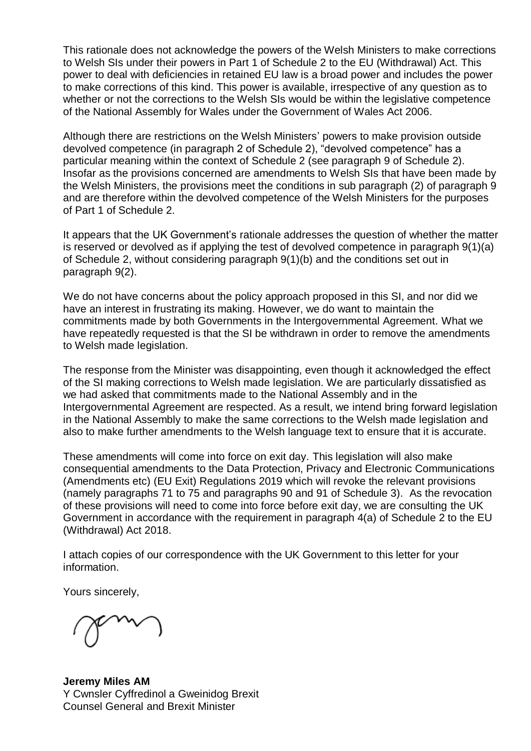This rationale does not acknowledge the powers of the Welsh Ministers to make corrections to Welsh SIs under their powers in Part 1 of Schedule 2 to the EU (Withdrawal) Act. This power to deal with deficiencies in retained EU law is a broad power and includes the power to make corrections of this kind. This power is available, irrespective of any question as to whether or not the corrections to the Welsh SIs would be within the legislative competence of the National Assembly for Wales under the Government of Wales Act 2006.

Although there are restrictions on the Welsh Ministers' powers to make provision outside devolved competence (in paragraph 2 of Schedule 2), "devolved competence" has a particular meaning within the context of Schedule 2 (see paragraph 9 of Schedule 2). Insofar as the provisions concerned are amendments to Welsh SIs that have been made by the Welsh Ministers, the provisions meet the conditions in sub paragraph (2) of paragraph 9 and are therefore within the devolved competence of the Welsh Ministers for the purposes of Part 1 of Schedule 2.

It appears that the UK Government's rationale addresses the question of whether the matter is reserved or devolved as if applying the test of devolved competence in paragraph 9(1)(a) of Schedule 2, without considering paragraph 9(1)(b) and the conditions set out in paragraph 9(2).

We do not have concerns about the policy approach proposed in this SI, and nor did we have an interest in frustrating its making. However, we do want to maintain the commitments made by both Governments in the Intergovernmental Agreement. What we have repeatedly requested is that the SI be withdrawn in order to remove the amendments to Welsh made legislation.

The response from the Minister was disappointing, even though it acknowledged the effect of the SI making corrections to Welsh made legislation. We are particularly dissatisfied as we had asked that commitments made to the National Assembly and in the Intergovernmental Agreement are respected. As a result, we intend bring forward legislation in the National Assembly to make the same corrections to the Welsh made legislation and also to make further amendments to the Welsh language text to ensure that it is accurate.

These amendments will come into force on exit day. This legislation will also make consequential amendments to the Data Protection, Privacy and Electronic Communications (Amendments etc) (EU Exit) Regulations 2019 which will revoke the relevant provisions (namely paragraphs 71 to 75 and paragraphs 90 and 91 of Schedule 3). As the revocation of these provisions will need to come into force before exit day, we are consulting the UK Government in accordance with the requirement in paragraph 4(a) of Schedule 2 to the EU (Withdrawal) Act 2018.

I attach copies of our correspondence with the UK Government to this letter for your information.

Yours sincerely,

**Jeremy Miles AM** Y Cwnsler Cyffredinol a Gweinidog Brexit Counsel General and Brexit Minister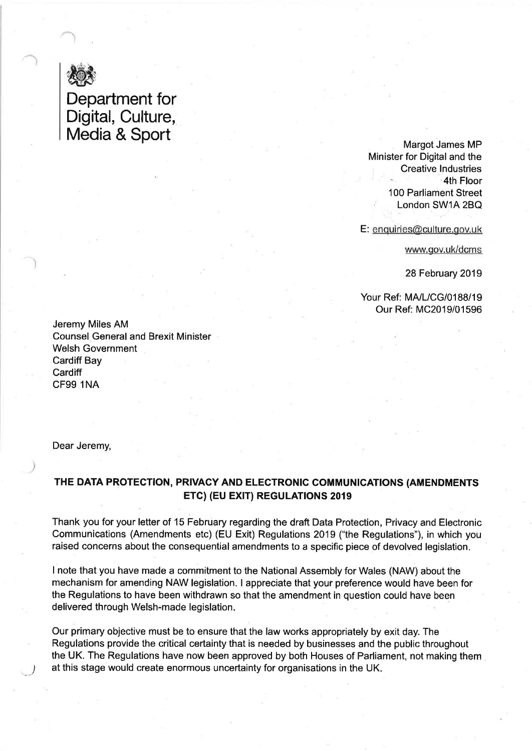

## Department for Digital, Culture,<br>Media & Sport

Margot James MP Minister for Digital and the **Creative Industries** 4th Floor 100 Parliament Street London SW1A 2BQ

E: enquiries@culture.gov.uk

www.gov.uk/dcms

28 February 2019

Your Ref: MA/L/CG/0188/19 Our Ref: MC2019/01596

Jeremy Miles AM **Counsel General and Brexit Minister Welsh Government Cardiff Bay** Cardiff **CF99 1NA** 

Dear Jeremy,

## THE DATA PROTECTION, PRIVACY AND ELECTRONIC COMMUNICATIONS (AMENDMENTS ETC) (EU EXIT) REGULATIONS 2019

Thank you for your letter of 15 February regarding the draft Data Protection, Privacy and Electronic Communications (Amendments etc) (EU Exit) Regulations 2019 ("the Regulations"), in which you raised concerns about the consequential amendments to a specific piece of devolved legislation.

I note that you have made a commitment to the National Assembly for Wales (NAW) about the mechanism for amending NAW legislation. I appreciate that your preference would have been for the Regulations to have been withdrawn so that the amendment in question could have been delivered through Welsh-made legislation.

Our primary objective must be to ensure that the law works appropriately by exit day. The Regulations provide the critical certainty that is needed by businesses and the public throughout the UK. The Regulations have now been approved by both Houses of Parliament, not making them at this stage would create enormous uncertainty for organisations in the UK.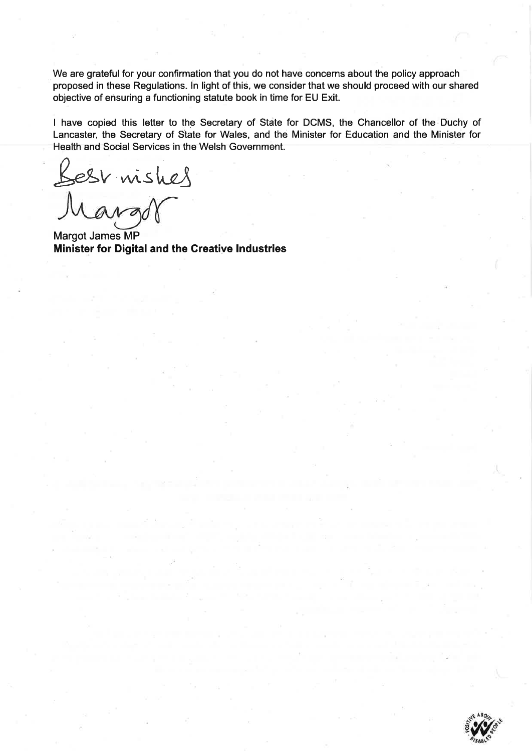We are grateful for your confirmation that you do not have concerns about the policy approach proposed in these Regulations. In light of this, we consider that we should proceed with our shared objective of ensuring a functioning statute book in time for EU Exit.

I have copied this letter to the Secretary of State for DCMS, the Chancellor of the Duchy of Lancaster, the Secretary of State for Wales, and the Minister for Education and the Minister for Health and Social Services in the Welsh Government.

Best mishes<br>Mangor

Margot James MP Minister for Digital and the Creative Industries

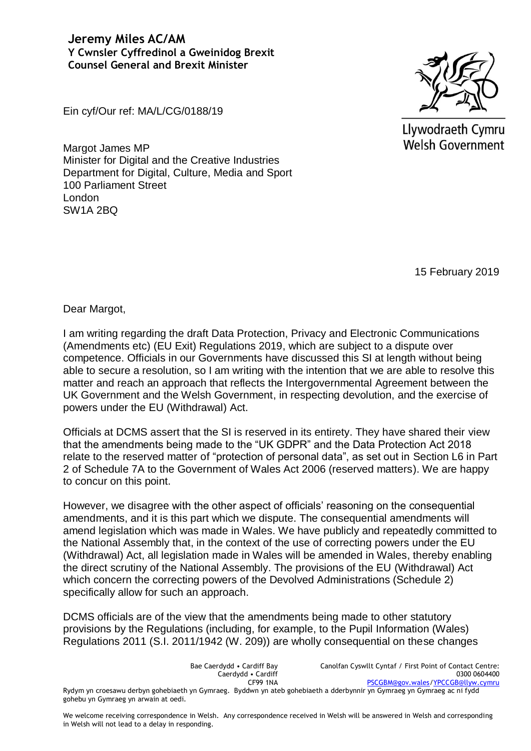**Jeremy Miles AC/AM Y Cwnsler Cyffredinol a Gweinidog Brexit Counsel General and Brexit Minister**



Llywodraeth Cymru Welsh Government

Ein cyf/Our ref: MA/L/CG/0188/19

Margot James MP Minister for Digital and the Creative Industries Department for Digital, Culture, Media and Sport 100 Parliament Street London SW1A 2BQ

15 February 2019

Dear Margot,

I am writing regarding the draft Data Protection, Privacy and Electronic Communications (Amendments etc) (EU Exit) Regulations 2019, which are subject to a dispute over competence. Officials in our Governments have discussed this SI at length without being able to secure a resolution, so I am writing with the intention that we are able to resolve this matter and reach an approach that reflects the Intergovernmental Agreement between the UK Government and the Welsh Government, in respecting devolution, and the exercise of powers under the EU (Withdrawal) Act.

Officials at DCMS assert that the SI is reserved in its entirety. They have shared their view that the amendments being made to the "UK GDPR" and the Data Protection Act 2018 relate to the reserved matter of "protection of personal data", as set out in Section L6 in Part 2 of Schedule 7A to the Government of Wales Act 2006 (reserved matters). We are happy to concur on this point.

However, we disagree with the other aspect of officials' reasoning on the consequential amendments, and it is this part which we dispute. The consequential amendments will amend legislation which was made in Wales. We have publicly and repeatedly committed to the National Assembly that, in the context of the use of correcting powers under the EU (Withdrawal) Act, all legislation made in Wales will be amended in Wales, thereby enabling the direct scrutiny of the National Assembly. The provisions of the EU (Withdrawal) Act which concern the correcting powers of the Devolved Administrations (Schedule 2) specifically allow for such an approach.

DCMS officials are of the view that the amendments being made to other statutory provisions by the Regulations (including, for example, to the Pupil Information (Wales) Regulations 2011 (S.I. 2011/1942 (W. 209)) are wholly consequential on these changes

| Bae Caerdydd • Cardiff Bay                                                                                              | Canolfan Cyswllt Cyntaf / First Point of Contact Centre: |
|-------------------------------------------------------------------------------------------------------------------------|----------------------------------------------------------|
| Caerdydd • Cardiff                                                                                                      | 0300 0604400                                             |
| <b>CF99 1NA</b>                                                                                                         | PSCGBM@gov.wales/YPCCGB@llyw.cymru                       |
| Rydym yn croesawu derbyn gohebiaeth yn Gymraeg. Byddwn yn ateb gohebiaeth a dderbynnir yn Gymraeg yn Gymraeg ac ni fydd |                                                          |
| gohebu yn Gymraeg yn arwain at oedi.                                                                                    |                                                          |